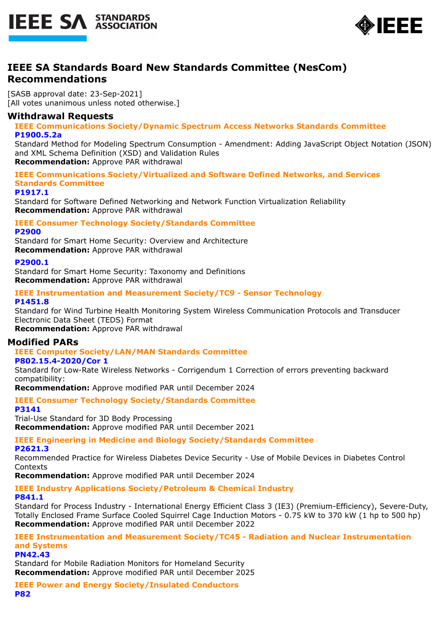



# **IEEE SA Standards Board New Standards Committee (NesCom) Recommendations**

[SASB approval date: 23-Sep-2021] [All votes unanimous unless noted otherwise.]

## **Withdrawal Requests**

**IEEE Communications Society/Dynamic Spectrum Access Networks Standards Committee P1900.5.2a**

Standard Method for Modeling Spectrum Consumption - Amendment: Adding JavaScript Object Notation (JSON) and XML Schema Definition (XSD) and Validation Rules

**Recommendation:** Approve PAR withdrawal

**IEEE Communications Society/Virtualized and Software Defined Networks, and Services Standards Committee**

**P1917.1**

Standard for Software Defined Networking and Network Function Virtualization Reliability **Recommendation:** Approve PAR withdrawal

**IEEE Consumer Technology Society/Standards Committee P2900**

Standard for Smart Home Security: Overview and Architecture **Recommendation:** Approve PAR withdrawal

### **P2900.1**

Standard for Smart Home Security: Taxonomy and Definitions **Recommendation:** Approve PAR withdrawal

#### **IEEE Instrumentation and Measurement Society/TC9 - Sensor Technology P1451.8**

Standard for Wind Turbine Health Monitoring System Wireless Communication Protocols and Transducer Electronic Data Sheet (TEDS) Format

**Recommendation:** Approve PAR withdrawal

# **Modified PARs**

# **IEEE Computer Society/LAN/MAN Standards Committee**

### **P802.15.4-2020/Cor 1**

Standard for Low-Rate Wireless Networks - Corrigendum 1 Correction of errors preventing backward compatibility:

**Recommendation:** Approve modified PAR until December 2024

**IEEE Consumer Technology Society/Standards Committee P3141**

Trial-Use Standard for 3D Body Processing **Recommendation:** Approve modified PAR until December 2021

#### **IEEE Engineering in Medicine and Biology Society/Standards Committee P2621.3**

Recommended Practice for Wireless Diabetes Device Security - Use of Mobile Devices in Diabetes Control **Contexts** 

**Recommendation:** Approve modified PAR until December 2024

# **IEEE Industry Applications Society/Petroleum & Chemical Industry**

### **P841.1**

Standard for Process Industry - International Energy Efficient Class 3 (IE3) (Premium-Efficiency), Severe-Duty, Totally Enclosed Frame Surface Cooled Squirrel Cage Induction Motors - 0.75 kW to 370 kW (1 hp to 500 hp) **Recommendation:** Approve modified PAR until December 2022

**IEEE Instrumentation and Measurement Society/TC45 - Radiation and Nuclear Instrumentation and Systems**

### **PN42.43**

Standard for Mobile Radiation Monitors for Homeland Security **Recommendation:** Approve modified PAR until December 2025

**IEEE Power and Energy Society/Insulated Conductors P82**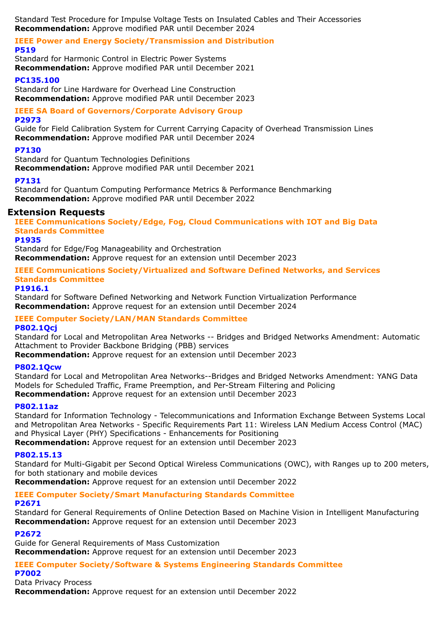Standard Test Procedure for Impulse Voltage Tests on Insulated Cables and Their Accessories **Recommendation:** Approve modified PAR until December 2024

### **IEEE Power and Energy Society/Transmission and Distribution P519**

Standard for Harmonic Control in Electric Power Systems **Recommendation:** Approve modified PAR until December 2021

## **PC135.100**

Standard for Line Hardware for Overhead Line Construction **Recommendation:** Approve modified PAR until December 2023

## **IEEE SA Board of Governors/Corporate Advisory Group**

**P2973**

Guide for Field Calibration System for Current Carrying Capacity of Overhead Transmission Lines **Recommendation:** Approve modified PAR until December 2024

### **P7130**

Standard for Quantum Technologies Definitions **Recommendation:** Approve modified PAR until December 2021

## **P7131**

Standard for Quantum Computing Performance Metrics & Performance Benchmarking **Recommendation:** Approve modified PAR until December 2022

# **Extension Requests**

**IEEE Communications Society/Edge, Fog, Cloud Communications with IOT and Big Data Standards Committee**

### **P1935**

Standard for Edge/Fog Manageability and Orchestration **Recommendation:** Approve request for an extension until December 2023

### **IEEE Communications Society/Virtualized and Software Defined Networks, and Services Standards Committee**

### **P1916.1**

Standard for Software Defined Networking and Network Function Virtualization Performance **Recommendation:** Approve request for an extension until December 2024

### **IEEE Computer Society/LAN/MAN Standards Committee**

### **P802.1Qcj**

Standard for Local and Metropolitan Area Networks -- Bridges and Bridged Networks Amendment: Automatic Attachment to Provider Backbone Bridging (PBB) services

**Recommendation:** Approve request for an extension until December 2023

### **P802.1Qcw**

Standard for Local and Metropolitan Area Networks--Bridges and Bridged Networks Amendment: YANG Data Models for Scheduled Traffic, Frame Preemption, and Per-Stream Filtering and Policing **Recommendation:** Approve request for an extension until December 2023

### **P802.11az**

Standard for Information Technology - Telecommunications and Information Exchange Between Systems Local and Metropolitan Area Networks - Specific Requirements Part 11: Wireless LAN Medium Access Control (MAC) and Physical Layer (PHY) Specifications - Enhancements for Positioning **Recommendation:** Approve request for an extension until December 2023

### **P802.15.13**

Standard for Multi-Gigabit per Second Optical Wireless Communications (OWC), with Ranges up to 200 meters, for both stationary and mobile devices

**Recommendation:** Approve request for an extension until December 2022

# **IEEE Computer Society/Smart Manufacturing Standards Committee**

### **P2671**

Standard for General Requirements of Online Detection Based on Machine Vision in Intelligent Manufacturing **Recommendation:** Approve request for an extension until December 2023

### **P2672**

Guide for General Requirements of Mass Customization **Recommendation:** Approve request for an extension until December 2023

# **IEEE Computer Society/Software & Systems Engineering Standards Committee**

### **P7002**

Data Privacy Process

**Recommendation:** Approve request for an extension until December 2022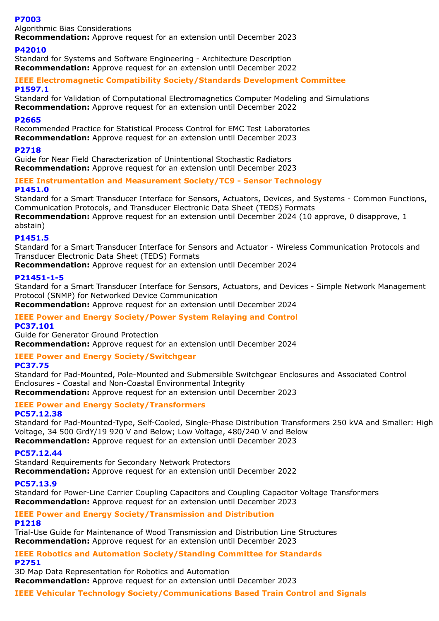### **P7003**

Algorithmic Bias Considerations

**Recommendation:** Approve request for an extension until December 2023

### **P42010**

Standard for Systems and Software Engineering - Architecture Description **Recommendation:** Approve request for an extension until December 2022

### **IEEE Electromagnetic Compatibility Society/Standards Development Committee P1597.1**

Standard for Validation of Computational Electromagnetics Computer Modeling and Simulations **Recommendation:** Approve request for an extension until December 2022

### **P2665**

Recommended Practice for Statistical Process Control for EMC Test Laboratories **Recommendation:** Approve request for an extension until December 2023

### **P2718**

Guide for Near Field Characterization of Unintentional Stochastic Radiators **Recommendation:** Approve request for an extension until December 2023

### **IEEE Instrumentation and Measurement Society/TC9 - Sensor Technology P1451.0**

Standard for a Smart Transducer Interface for Sensors, Actuators, Devices, and Systems - Common Functions, Communication Protocols, and Transducer Electronic Data Sheet (TEDS) Formats

**Recommendation:** Approve request for an extension until December 2024 (10 approve, 0 disapprove, 1 abstain)

### **P1451.5**

Standard for a Smart Transducer Interface for Sensors and Actuator - Wireless Communication Protocols and Transducer Electronic Data Sheet (TEDS) Formats

**Recommendation:** Approve request for an extension until December 2024

### **P21451-1-5**

Standard for a Smart Transducer Interface for Sensors, Actuators, and Devices - Simple Network Management Protocol (SNMP) for Networked Device Communication

**Recommendation:** Approve request for an extension until December 2024

### **IEEE Power and Energy Society/Power System Relaying and Control**

**PC37.101**

Guide for Generator Ground Protection **Recommendation:** Approve request for an extension until December 2024

### **IEEE Power and Energy Society/Switchgear**

### **PC37.75**

Standard for Pad-Mounted, Pole-Mounted and Submersible Switchgear Enclosures and Associated Control Enclosures - Coastal and Non-Coastal Environmental Integrity **Recommendation:** Approve request for an extension until December 2023

#### **IEEE Power and Energy Society/Transformers PC57.12.38**

Standard for Pad-Mounted-Type, Self-Cooled, Single-Phase Distribution Transformers 250 kVA and Smaller: High Voltage, 34 500 GrdY/19 920 V and Below; Low Voltage, 480/240 V and Below **Recommendation:** Approve request for an extension until December 2023

### **PC57.12.44**

Standard Requirements for Secondary Network Protectors **Recommendation:** Approve request for an extension until December 2022

### **PC57.13.9**

Standard for Power-Line Carrier Coupling Capacitors and Coupling Capacitor Voltage Transformers **Recommendation:** Approve request for an extension until December 2023

# **IEEE Power and Energy Society/Transmission and Distribution**

### **P1218**

Trial-Use Guide for Maintenance of Wood Transmission and Distribution Line Structures **Recommendation:** Approve request for an extension until December 2023

**IEEE Robotics and Automation Society/Standing Committee for Standards P2751**

3D Map Data Representation for Robotics and Automation

**Recommendation:** Approve request for an extension until December 2023

### **IEEE Vehicular Technology Society/Communications Based Train Control and Signals**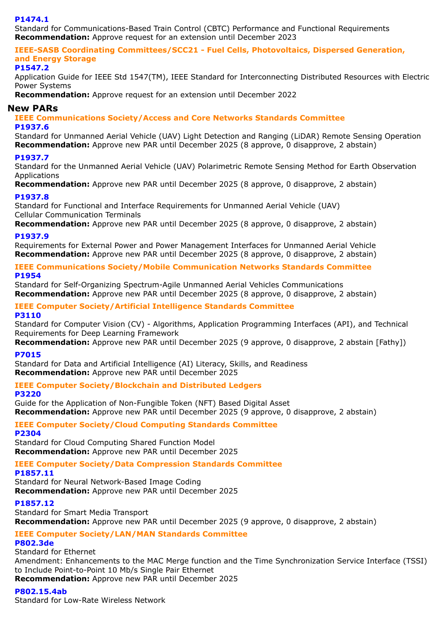### **P1474.1**

Standard for Communications-Based Train Control (CBTC) Performance and Functional Requirements **Recommendation:** Approve request for an extension until December 2023

**IEEE-SASB Coordinating Committees/SCC21 - Fuel Cells, Photovoltaics, Dispersed Generation, and Energy Storage**

### **P1547.2**

Application Guide for IEEE Std 1547(TM), IEEE Standard for Interconnecting Distributed Resources with Electric Power Systems

**Recommendation:** Approve request for an extension until December 2022

### **New PARs**

**IEEE Communications Society/Access and Core Networks Standards Committee P1937.6**

Standard for Unmanned Aerial Vehicle (UAV) Light Detection and Ranging (LiDAR) Remote Sensing Operation **Recommendation:** Approve new PAR until December 2025 (8 approve, 0 disapprove, 2 abstain)

### **P1937.7**

Standard for the Unmanned Aerial Vehicle (UAV) Polarimetric Remote Sensing Method for Earth Observation Applications

**Recommendation:** Approve new PAR until December 2025 (8 approve, 0 disapprove, 2 abstain)

### **P1937.8**

Standard for Functional and Interface Requirements for Unmanned Aerial Vehicle (UAV) Cellular Communication Terminals

**Recommendation:** Approve new PAR until December 2025 (8 approve, 0 disapprove, 2 abstain)

### **P1937.9**

Requirements for External Power and Power Management Interfaces for Unmanned Aerial Vehicle **Recommendation:** Approve new PAR until December 2025 (8 approve, 0 disapprove, 2 abstain)

### **IEEE Communications Society/Mobile Communication Networks Standards Committee P1954**

Standard for Self-Organizing Spectrum-Agile Unmanned Aerial Vehicles Communications **Recommendation:** Approve new PAR until December 2025 (8 approve, 0 disapprove, 2 abstain)

# **IEEE Computer Society/Artificial Intelligence Standards Committee**

### **P3110**

Standard for Computer Vision (CV) - Algorithms, Application Programming Interfaces (API), and Technical Requirements for Deep Learning Framework

Recommendation: Approve new PAR until December 2025 (9 approve, 0 disapprove, 2 abstain [Fathy])

### **P7015**

Standard for Data and Artificial Intelligence (AI) Literacy, Skills, and Readiness **Recommendation:** Approve new PAR until December 2025

# **IEEE Computer Society/Blockchain and Distributed Ledgers**

### **P3220**

Guide for the Application of Non-Fungible Token (NFT) Based Digital Asset **Recommendation:** Approve new PAR until December 2025 (9 approve, 0 disapprove, 2 abstain)

# **IEEE Computer Society/Cloud Computing Standards Committee**

# **P2304**

Standard for Cloud Computing Shared Function Model **Recommendation:** Approve new PAR until December 2025

# **IEEE Computer Society/Data Compression Standards Committee**

**P1857.11**

Standard for Neural Network-Based Image Coding **Recommendation:** Approve new PAR until December 2025

# **P1857.12**

Standard for Smart Media Transport **Recommendation:** Approve new PAR until December 2025 (9 approve, 0 disapprove, 2 abstain)

# **IEEE Computer Society/LAN/MAN Standards Committee**

# **P802.3de**

Standard for Ethernet Amendment: Enhancements to the MAC Merge function and the Time Synchronization Service Interface (TSSI) to Include Point-to-Point 10 Mb/s Single Pair Ethernet

# **Recommendation:** Approve new PAR until December 2025

# **P802.15.4ab**

Standard for Low-Rate Wireless Network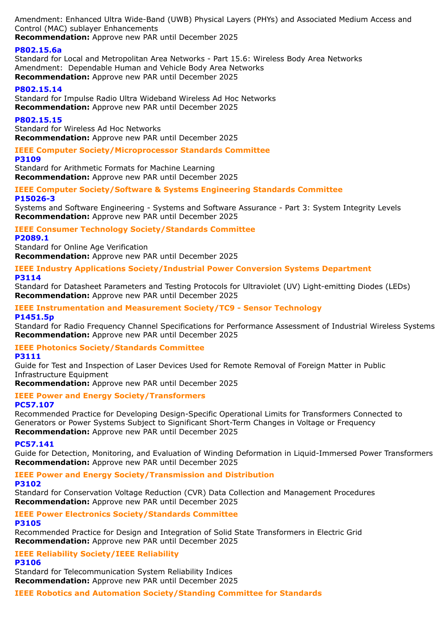Amendment: Enhanced Ultra Wide-Band (UWB) Physical Layers (PHYs) and Associated Medium Access and Control (MAC) sublayer Enhancements

**Recommendation:** Approve new PAR until December 2025

# **P802.15.6a**

Standard for Local and Metropolitan Area Networks - Part 15.6: Wireless Body Area Networks Amendment: Dependable Human and Vehicle Body Area Networks **Recommendation:** Approve new PAR until December 2025

# **P802.15.14**

Standard for Impulse Radio Ultra Wideband Wireless Ad Hoc Networks **Recommendation:** Approve new PAR until December 2025

# **P802.15.15**

Standard for Wireless Ad Hoc Networks **Recommendation:** Approve new PAR until December 2025

# **IEEE Computer Society/Microprocessor Standards Committee**

# **P3109**

Standard for Arithmetic Formats for Machine Learning **Recommendation:** Approve new PAR until December 2025

## **IEEE Computer Society/Software & Systems Engineering Standards Committee P15026-3**

Systems and Software Engineering - Systems and Software Assurance - Part 3: System Integrity Levels **Recommendation:** Approve new PAR until December 2025

# **IEEE Consumer Technology Society/Standards Committee**

### **P2089.1**

Standard for Online Age Verification **Recommendation:** Approve new PAR until December 2025

### **IEEE Industry Applications Society/Industrial Power Conversion Systems Department P3114**

Standard for Datasheet Parameters and Testing Protocols for Ultraviolet (UV) Light-emitting Diodes (LEDs) **Recommendation:** Approve new PAR until December 2025

# **IEEE Instrumentation and Measurement Society/TC9 - Sensor Technology**

### **P1451.5p**

Standard for Radio Frequency Channel Specifications for Performance Assessment of Industrial Wireless Systems **Recommendation:** Approve new PAR until December 2025

# **IEEE Photonics Society/Standards Committee**

### **P3111**

Guide for Test and Inspection of Laser Devices Used for Remote Removal of Foreign Matter in Public Infrastructure Equipment

**Recommendation:** Approve new PAR until December 2025

#### **IEEE Power and Energy Society/Transformers PC57.107**

Recommended Practice for Developing Design-Specific Operational Limits for Transformers Connected to Generators or Power Systems Subject to Significant Short-Term Changes in Voltage or Frequency **Recommendation:** Approve new PAR until December 2025

### **PC57.141**

Guide for Detection, Monitoring, and Evaluation of Winding Deformation in Liquid-Immersed Power Transformers **Recommendation:** Approve new PAR until December 2025

# **IEEE Power and Energy Society/Transmission and Distribution**

### **P3102**

Standard for Conservation Voltage Reduction (CVR) Data Collection and Management Procedures **Recommendation:** Approve new PAR until December 2025

# **IEEE Power Electronics Society/Standards Committee**

### **P3105**

Recommended Practice for Design and Integration of Solid State Transformers in Electric Grid **Recommendation:** Approve new PAR until December 2025

# **IEEE Reliability Society/IEEE Reliability**

### **P3106**

Standard for Telecommunication System Reliability Indices **Recommendation:** Approve new PAR until December 2025

### **IEEE Robotics and Automation Society/Standing Committee for Standards**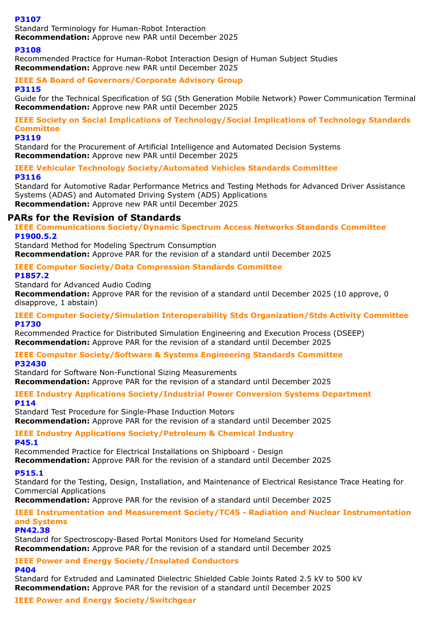### **P3107**

Standard Terminology for Human-Robot Interaction

**Recommendation:** Approve new PAR until December 2025

## **P3108**

Recommended Practice for Human-Robot Interaction Design of Human Subject Studies **Recommendation:** Approve new PAR until December 2025

#### **IEEE SA Board of Governors/Corporate Advisory Group P3115**

Guide for the Technical Specification of 5G (5th Generation Mobile Network) Power Communication Terminal **Recommendation:** Approve new PAR until December 2025

# **IEEE Society on Social Implications of Technology/Social Implications of Technology Standards Committee**

### **P3119**

Standard for the Procurement of Artificial Intelligence and Automated Decision Systems **Recommendation:** Approve new PAR until December 2025

### **IEEE Vehicular Technology Society/Automated Vehicles Standards Committee P3116**

Standard for Automotive Radar Performance Metrics and Testing Methods for Advanced Driver Assistance Systems (ADAS) and Automated Driving System (ADS) Applications **Recommendation:** Approve new PAR until December 2025

# **PARs for the Revision of Standards**

**IEEE Communications Society/Dynamic Spectrum Access Networks Standards Committee P1900.5.2**

Standard Method for Modeling Spectrum Consumption **Recommendation:** Approve PAR for the revision of a standard until December 2025

# **IEEE Computer Society/Data Compression Standards Committee**

**P1857.2**

Standard for Advanced Audio Coding

**Recommendation:** Approve PAR for the revision of a standard until December 2025 (10 approve, 0 disapprove, 1 abstain)

### **IEEE Computer Society/Simulation Interoperability Stds Organization/Stds Activity Committee P1730**

Recommended Practice for Distributed Simulation Engineering and Execution Process (DSEEP) **Recommendation:** Approve PAR for the revision of a standard until December 2025

### **IEEE Computer Society/Software & Systems Engineering Standards Committee P32430**

Standard for Software Non-Functional Sizing Measurements **Recommendation:** Approve PAR for the revision of a standard until December 2025

**IEEE Industry Applications Society/Industrial Power Conversion Systems Department P114**

Standard Test Procedure for Single-Phase Induction Motors **Recommendation:** Approve PAR for the revision of a standard until December 2025

### **IEEE Industry Applications Society/Petroleum & Chemical Industry P45.1**

Recommended Practice for Electrical Installations on Shipboard - Design

# **Recommendation:** Approve PAR for the revision of a standard until December 2025

### **P515.1**

Standard for the Testing, Design, Installation, and Maintenance of Electrical Resistance Trace Heating for Commercial Applications

**Recommendation:** Approve PAR for the revision of a standard until December 2025

# **IEEE Instrumentation and Measurement Society/TC45 - Radiation and Nuclear Instrumentation and Systems**

### **PN42.38**

Standard for Spectroscopy-Based Portal Monitors Used for Homeland Security **Recommendation:** Approve PAR for the revision of a standard until December 2025

# **IEEE Power and Energy Society/Insulated Conductors**

# **P404**

Standard for Extruded and Laminated Dielectric Shielded Cable Joints Rated 2.5 kV to 500 kV **Recommendation:** Approve PAR for the revision of a standard until December 2025

# **IEEE Power and Energy Society/Switchgear**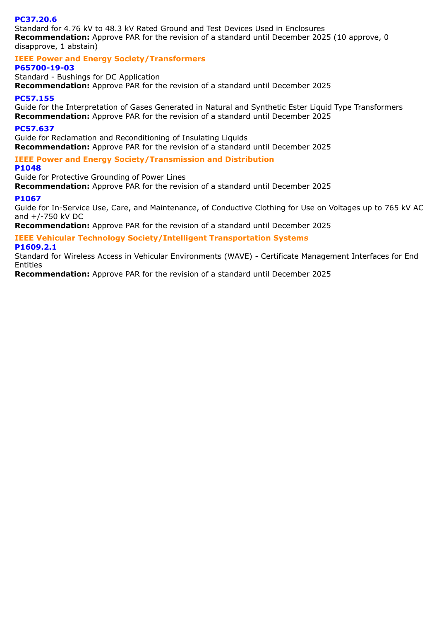### **PC37.20.6**

Standard for 4.76 kV to 48.3 kV Rated Ground and Test Devices Used in Enclosures **Recommendation:** Approve PAR for the revision of a standard until December 2025 (10 approve, 0 disapprove, 1 abstain)

**IEEE Power and Energy Society/Transformers**

### **P65700-19-03**

Standard - Bushings for DC Application **Recommendation:** Approve PAR for the revision of a standard until December 2025

### **PC57.155**

Guide for the Interpretation of Gases Generated in Natural and Synthetic Ester Liquid Type Transformers **Recommendation:** Approve PAR for the revision of a standard until December 2025

### **PC57.637**

Guide for Reclamation and Reconditioning of Insulating Liquids **Recommendation:** Approve PAR for the revision of a standard until December 2025

**IEEE Power and Energy Society/Transmission and Distribution**

### **P1048**

Guide for Protective Grounding of Power Lines

**Recommendation:** Approve PAR for the revision of a standard until December 2025

### **P1067**

Guide for In-Service Use, Care, and Maintenance, of Conductive Clothing for Use on Voltages up to 765 kV AC and +/-750 kV DC

**Recommendation:** Approve PAR for the revision of a standard until December 2025

# **IEEE Vehicular Technology Society/Intelligent Transportation Systems**

#### **P1609.2.1**

Standard for Wireless Access in Vehicular Environments (WAVE) - Certificate Management Interfaces for End Entities

**Recommendation:** Approve PAR for the revision of a standard until December 2025